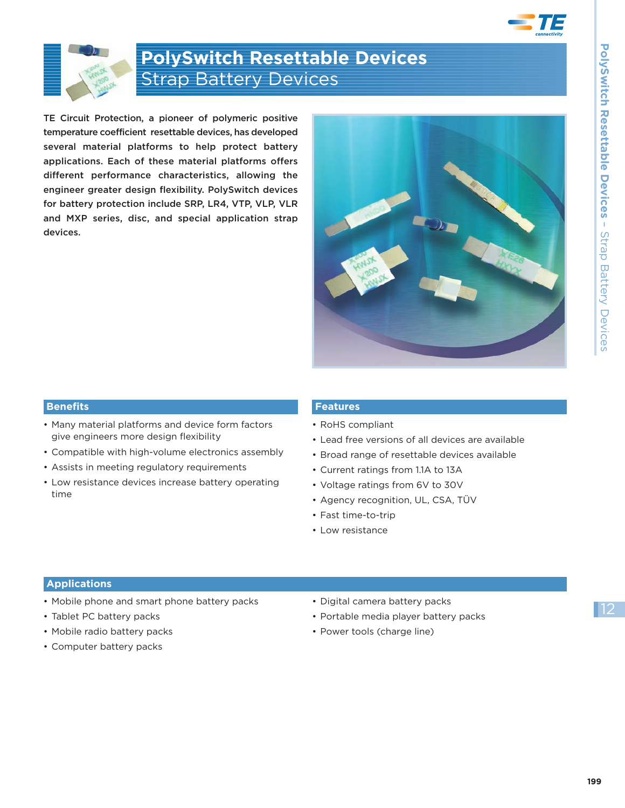



# **PolySwitch Resettable Devices** Strap Battery Devices

**TE Circuit Protection, a pioneer of polymeric positive temperature coefficient resettable devices, has developed several material platforms to help protect battery applications. Each of these material platforms offers different performance characteristics, allowing the engineer greater design flexibility. PolySwitch devices for battery protection include SRP, LR4, VTP, VLP, VLR and MXP series, disc, and special application strap devices.**



- Many material platforms and device form factors give engineers more design flexibility
- Compatible with high-volume electronics assembly
- Assists in meeting regulatory requirements
- Low resistance devices increase battery operating time

## **Benefits Features**

- RoHS compliant
- Lead free versions of all devices are available
- Broad range of resettable devices available
- Current ratings from 1.1A to 13A
- Voltage ratings from 6V to 30V
- Agency recognition, UL, CSA, TÜV
- Fast time-to-trip
- Low resistance

## **Applications**

- Mobile phone and smart phone battery packs
- Tablet PC battery packs
- Mobile radio battery packs
- Computer battery packs
- Digital camera battery packs
- Portable media player battery packs
- Power tools (charge line)

 $\vert$ 12 $\vert$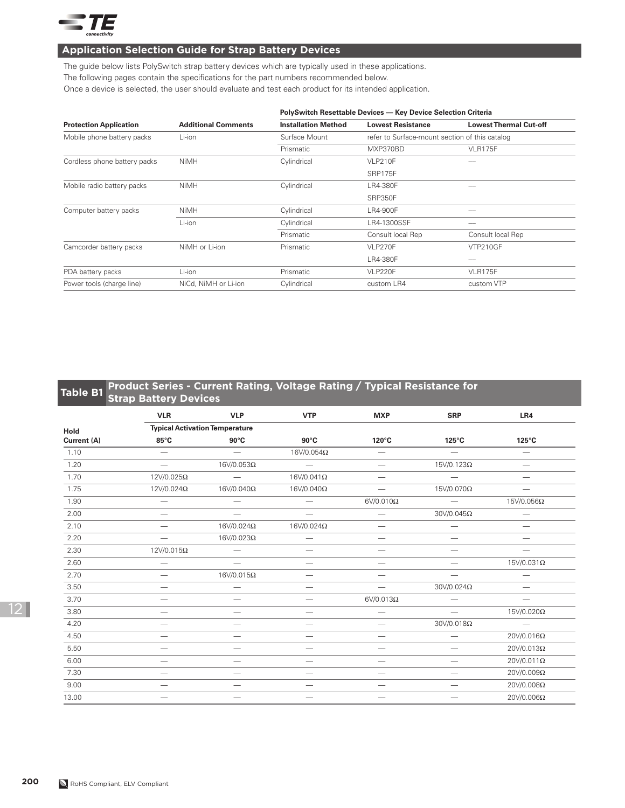

# **Application Selection Guide for Strap Battery Devices**

The guide below lists PolySwitch strap battery devices which are typically used in these applications. The following pages contain the specifications for the part numbers recommended below.

Once a device is selected, the user should evaluate and test each product for its intended application.

|                               |                            |                            | PolySwitch Resettable Devices - Key Device Selection Criteria |                               |  |  |  |  |  |
|-------------------------------|----------------------------|----------------------------|---------------------------------------------------------------|-------------------------------|--|--|--|--|--|
| <b>Protection Application</b> | <b>Additional Comments</b> | <b>Installation Method</b> | <b>Lowest Resistance</b>                                      | <b>Lowest Thermal Cut-off</b> |  |  |  |  |  |
| Mobile phone battery packs    | Li-ion                     | Surface Mount              | refer to Surface-mount section of this catalog                |                               |  |  |  |  |  |
|                               |                            | Prismatic                  | MXP370BD                                                      | <b>VLR175F</b>                |  |  |  |  |  |
| Cordless phone battery packs  | <b>NiMH</b>                | Cylindrical                | VLP210F                                                       |                               |  |  |  |  |  |
|                               |                            |                            | SRP175F                                                       |                               |  |  |  |  |  |
| Mobile radio battery packs    | <b>NiMH</b>                | Cylindrical                | LR4-380F                                                      |                               |  |  |  |  |  |
|                               |                            |                            | SRP350F                                                       |                               |  |  |  |  |  |
| Computer battery packs        | <b>NiMH</b>                | Cylindrical                | LR4-900F                                                      |                               |  |  |  |  |  |
|                               | Li-ion                     | Cylindrical                | LR4-1300SSF                                                   |                               |  |  |  |  |  |
|                               |                            | Prismatic                  | Consult local Rep                                             | Consult local Rep             |  |  |  |  |  |
| Camcorder battery packs       | NiMH or Li-ion             | Prismatic                  | VLP270F                                                       | VTP210GF                      |  |  |  |  |  |
|                               |                            |                            | LR4-380F                                                      |                               |  |  |  |  |  |
| PDA battery packs             | Li-ion                     | Prismatic                  | VLP220F                                                       | <b>VLR175F</b>                |  |  |  |  |  |
| Power tools (charge line)     | NiCd. NiMH or Li-ion       | Cylindrical                | custom LR4                                                    | custom VTP                    |  |  |  |  |  |

| Table B1    | <b>Strap Battery Devices</b> | Product Series - Current Rating, Voltage Rating / Typical Resistance for |                   |                  |                   |                   |
|-------------|------------------------------|--------------------------------------------------------------------------|-------------------|------------------|-------------------|-------------------|
|             | <b>VLR</b>                   | <b>VLP</b>                                                               | <b>VTP</b>        | <b>MXP</b>       | <b>SRP</b>        | LR4               |
| Hold        |                              | <b>Typical Activation Temperature</b>                                    |                   |                  |                   |                   |
| Current (A) | $85^{\circ}$ C               | $90^{\circ}$ C                                                           | $90^{\circ}$ C    | $120^{\circ}$ C  | $125^{\circ}$ C   | $125^{\circ}$ C   |
| 1.10        |                              | -                                                                        | $16V/0.054\Omega$ |                  |                   |                   |
| 1.20        |                              | $16V/0.053\Omega$                                                        |                   | -                | $15V/0.123\Omega$ |                   |
| 1.70        | $12V/0.025\Omega$            |                                                                          | $16V/0.041\Omega$ |                  |                   |                   |
| 1.75        | $12V/0.024\Omega$            | $16V/0.040\Omega$                                                        | 16V/0.040Ω        | -                | $15V/0.070\Omega$ |                   |
| 1.90        |                              |                                                                          |                   | $6V/0.010\Omega$ |                   | $15V/0.056\Omega$ |
| 2.00        |                              | –                                                                        | –                 |                  | $30V/0.045\Omega$ |                   |
| 2.10        |                              | $16V/0.024\Omega$                                                        | $16V/0.024\Omega$ |                  |                   |                   |
| 2.20        |                              | $16V/0.023\Omega$                                                        |                   | -                |                   |                   |
| 2.30        | $12V/0.015\Omega$            |                                                                          | -                 |                  |                   |                   |
| 2.60        |                              |                                                                          | –                 |                  |                   | $15V/0.031\Omega$ |
| 2.70        |                              | $16V/0.015\Omega$                                                        |                   |                  |                   |                   |
| 3.50        |                              |                                                                          |                   |                  | $30V/0.024\Omega$ |                   |
| 3.70        |                              |                                                                          |                   | $6V/0.013\Omega$ |                   |                   |
| 3.80        |                              |                                                                          |                   |                  |                   | $15V/0.020\Omega$ |

4.20 ———— 30V/0.018Ω —  $\frac{\partial}{\partial \theta}$  +  $\frac{\partial}{\partial \theta}$  +  $\frac{\partial}{\partial \theta}$  +  $\frac{\partial}{\partial \theta}$  +  $\frac{\partial}{\partial \theta}$  +  $\frac{\partial}{\partial \theta}$  +  $\frac{\partial}{\partial \theta}$  +  $\frac{\partial}{\partial \theta}$  +  $\frac{\partial}{\partial \theta}$  +  $\frac{\partial}{\partial \theta}$  +  $\frac{\partial}{\partial \theta}$  +  $\frac{\partial}{\partial \theta}$  +  $\frac{\partial}{\partial \theta}$  +  $\frac{\partial}{\partial \theta}$  +  $\frac{\partial}{\partial \theta$ 5.50 ————— 20V/0.013Ω 6.00 ————— 20V/0.011Ω 7.30 ————— 20V/0.009Ω 9.00 ————— 20V/0.008Ω 13.00 ————— 20V/0.006Ω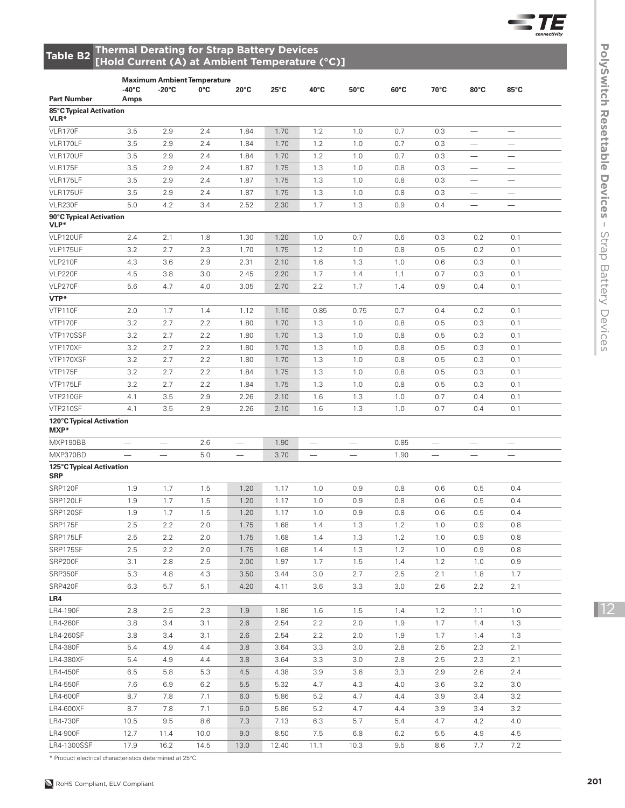

# **Table B2 Thermal Derating for Strap Battery Devices [Hold Current (A) at Ambient Temperature (°C)]**

|                                        | $-40^{\circ}$ C | $-20^{\circ}$ C | <b>Maximum Ambient Temperature</b><br>$0^{\circ}$ C | $20^{\circ}$ C           | $25^{\circ}$ C | $40^{\circ}$ C  | $50^{\circ}$ C | $60^{\circ}$ C | $70^{\circ}$ C | 80°C                     | 85°C |
|----------------------------------------|-----------------|-----------------|-----------------------------------------------------|--------------------------|----------------|-----------------|----------------|----------------|----------------|--------------------------|------|
| <b>Part Number</b>                     | Amps            |                 |                                                     |                          |                |                 |                |                |                |                          |      |
| 85°C Typical Activation<br>VLR*        |                 |                 |                                                     |                          |                |                 |                |                |                |                          |      |
| VLR170F                                | 3.5             | 2.9             | 2.4                                                 | 1.84                     | 1.70           | 1.2             | 1.0            | 0.7            | 0.3            | $\overline{\phantom{0}}$ | -    |
| VLR170LF                               | 3.5             | 2.9             | 2.4                                                 | 1.84                     | 1.70           | 1.2             | 1.0            | 0.7            | 0.3            |                          |      |
| VLR170UF                               | 3.5             | 2.9             | 2.4                                                 | 1.84                     | 1.70           | 1.2             | 1.0            | 0.7            | 0.3            | -                        | -    |
| VLR175F                                | 3.5             | 2.9             | 2.4                                                 | 1.87                     | 1.75           | 1.3             | 1.0            | 0.8            | 0.3            |                          |      |
| VLR175LF                               | 3.5             | 2.9             | 2.4                                                 | 1.87                     | 1.75           | 1.3             | 1.0            | 0.8            | 0.3            | –                        | -    |
| VLR175UF                               | 3.5             | 2.9             | 2.4                                                 | 1.87                     | 1.75           | 1.3             | 1.0            | 0.8            | 0.3            | -                        | -    |
| VLR230F                                | 5.0             | 4.2             | 3.4                                                 | 2.52                     | 2.30           | 1.7             | 1.3            | 0.9            | 0.4            | $\overline{\phantom{0}}$ | -    |
| 90°C Typical Activation<br>VLP*        |                 |                 |                                                     |                          |                |                 |                |                |                |                          |      |
| VLP120UF                               | 2.4             | 2.1             | 1.8                                                 | 1.30                     | 1.20           | 1.0             | 0.7            | 0.6            | 0.3            | 0.2                      | 0.1  |
| VLP175UF                               | 3.2             | 2.7             | 2.3                                                 | 1.70                     | 1.75           | 1.2             | 1.0            | 0.8            | 0.5            | 0.2                      | 0.1  |
| VLP210F                                | 4.3             | 3.6             | 2.9                                                 | 2.31                     | 2.10           | 1.6             | 1.3            | 1.0            | 0.6            | 0.3                      | 0.1  |
| VLP220F                                | 4.5             | 3.8             | 3.0                                                 | 2.45                     | 2.20           | 1.7             | 1.4            | 1.1            | 0.7            | 0.3                      | 0.1  |
| VLP270F                                | 5.6             | 4.7             | 4.0                                                 | 3.05                     | 2.70           | 2.2             | 1.7            | 1.4            | 0.9            | 0.4                      | 0.1  |
| VTP*                                   |                 |                 |                                                     |                          |                |                 |                |                |                |                          |      |
| VTP110F                                | 2.0             | 1.7             | 1.4                                                 | 1.12                     | 1.10           | 0.85            | 0.75           | 0.7            | 0.4            | 0.2                      | 0.1  |
| VTP170F                                | 3.2             | 2.7             | 2.2                                                 | 1.80                     | 1.70           | 1.3             | 1.0            | 0.8            | 0.5            | 0.3                      | 0.1  |
| VTP170SSF                              | 3.2             | 2.7             | 2.2                                                 | 1.80                     | 1.70           | 1.3             | 1.0            | 0.8            | 0.5            | 0.3                      | 0.1  |
| VTP170XF                               | 3.2             | 2.7             | 2.2                                                 | 1.80                     | 1.70           | 1.3             | 1.0            | 0.8            | 0.5            | 0.3                      | 0.1  |
| VTP170XSF                              | 3.2             | 2.7             | 2.2                                                 | 1.80                     | 1.70           | 1.3             | 1.0            | 0.8            | 0.5            | 0.3                      | 0.1  |
| VTP175F                                | 3.2             | 2.7             | 2.2                                                 | 1.84                     | 1.75           | 1.3             | 1.0            | 0.8            | 0.5            | 0.3                      | 0.1  |
| VTP175LF                               | 3.2             | 2.7             | 2.2                                                 | 1.84                     | 1.75           | 1.3             | 1.0            | 0.8            | 0.5            | 0.3                      | 0.1  |
| VTP210GF                               | 4.1             | 3.5             | 2.9                                                 | 2.26                     | 2.10           | 1.6             | 1.3            | 1.0            | 0.7            | 0.4                      | 0.1  |
| VTP210SF                               | 4.1             | 3.5             | 2.9                                                 | 2.26                     | 2.10           | 1.6             | 1.3            | 1.0            | 0.7            | 0.4                      | 0.1  |
| 120°C Typical Activation<br>MXP*       |                 |                 |                                                     |                          |                |                 |                |                |                |                          |      |
| MXP190BB                               |                 | -               | 2.6                                                 | $\overline{\phantom{0}}$ | 1.90           | $\qquad \qquad$ | -              | 0.85           | -              | -                        | -    |
| MXP370BD                               | -               |                 | 5.0                                                 | $\overline{\phantom{m}}$ | 3.70           | $\qquad \qquad$ |                | 1.90           |                | -                        | -    |
| 125°C Typical Activation<br><b>SRP</b> |                 |                 |                                                     |                          |                |                 |                |                |                |                          |      |
| SRP120F                                | 1.9             | 1.7             | 1.5                                                 | 1.20                     | 1.17           | 1.0             | 0.9            | 0.8            | 0.6            | 0.5                      | 0.4  |
| SRP120LF                               | 1.9             | 1.7             | 1.5                                                 | 1.20                     | 1.17           | 1.0             | 0.9            | 0.8            | 0.6            | 0.5                      | 0.4  |
| SRP120SF                               | 1.9             | 1.7             | 1.5                                                 | 1.20                     | 1.17           | 1.0             | 0.9            | 0.8            | 0.6            | 0.5                      | 0.4  |
| SRP175F                                | 2.5             | 2.2             | 2.0                                                 | 1.75                     | 1.68           | 1.4             | 1.3            | 1.2            | 1.0            | 0.9                      | 0.8  |
| SRP175LF                               | 2.5             | 2.2             | 2.0                                                 | 1.75                     | 1.68           | 1.4             | 1.3            | 1.2            | 1.0            | 0.9                      | 0.8  |
| SRP175SF                               | 2.5             | 2.2             | 2.0                                                 | 1.75                     | 1.68           | 1.4             | 1.3            | 1.2            | 1.0            | 0.9                      | 0.8  |
| SRP200F                                | 3.1             | 2.8             | 2.5                                                 | 2.00                     | 1.97           | 1.7             | 1.5            | 1.4            | 1.2            | 1.0                      | 0.9  |
| SRP350F                                | 5.3             | 4.8             | 4.3                                                 | 3.50                     | 3.44           | 3.0             | 2.7            | 2.5            | 2.1            | 1.8                      | 1.7  |
| SRP420F                                | 6.3             | 5.7             | 5.1                                                 | 4.20                     | 4.11           | 3.6             | 3.3            | 3.0            | 2.6            | 2.2                      | 2.1  |
| LR4                                    |                 |                 |                                                     |                          |                |                 |                |                |                |                          |      |
| LR4-190F                               | 2.8             | 2.5             | 2.3                                                 | 1.9                      | 1.86           | 1.6             | 1.5            | 1.4            | 1.2            | 1.1                      | 1.0  |
| LR4-260F                               | 3.8             | 3.4             | 3.1                                                 | 2.6                      | 2.54           | 2.2             | 2.0            | 1.9            | 1.7            | 1.4                      | 1.3  |
| LR4-260SF                              | 3.8             | 3.4             | 3.1                                                 | 2.6                      | 2.54           | 2.2             | 2.0            | 1.9            | 1.7            | 1.4                      | 1.3  |
| LR4-380F                               | 5.4             | 4.9             | 4.4                                                 | 3.8                      | 3.64           | 3.3             | 3.0            | 2.8            | 2.5            | 2.3                      | 2.1  |
| LR4-380XF                              |                 | 4.9             |                                                     | 3.8                      | 3.64           | 3.3             | 3.0            | 2.8            | 2.5            | 2.3                      | 2.1  |
| LR4-450F                               | 5.4<br>6.5      | 5.8             | 4.4<br>5.3                                          | 4.5                      | 4.38           | 3.9             | 3.6            | 3.3            | 2.9            | 2.6                      | 2.4  |
| LR4-550F                               | 7.6             | 6.9             | 6.2                                                 |                          | 5.32           | 4.7             | 4.3            | 4.0            | 3.6            | 3.2                      | 3.0  |
|                                        |                 |                 |                                                     | 5.5                      |                |                 |                |                |                |                          | 3.2  |
| LR4-600F                               | 8.7             | 7.8             | 7.1                                                 | 6.0                      | 5.86           | 5.2             | 4.7            | 4.4            | 3.9            | 3.4                      | 3.2  |
| LR4-600XF                              | 8.7             | 7.8             | 7.1                                                 | 6.0                      | 5.86           | 5.2             | 4.7            | 4.4            | 3.9            | 3.4                      | 4.0  |
| LR4-730F<br>LR4-900F                   | 10.5<br>12.7    | 9.5<br>11.4     | 8.6<br>10.0                                         | 7.3<br>9.0               | 7.13<br>8.50   | 6.3<br>7.5      | 5.7<br>6.8     | 5.4<br>6.2     | 4.7<br>5.5     | 4.2<br>4.9               | 4.5  |
| LR4-1300SSF                            | 17.9            | 16.2            | 14.5                                                | 13.0                     | 12.40          | 11.1            | 10.3           | 9.5            | 8.6            | 7.7                      | 7.2  |
|                                        |                 |                 |                                                     |                          |                |                 |                |                |                |                          |      |

\* Product electrical characteristics determined at 25°C.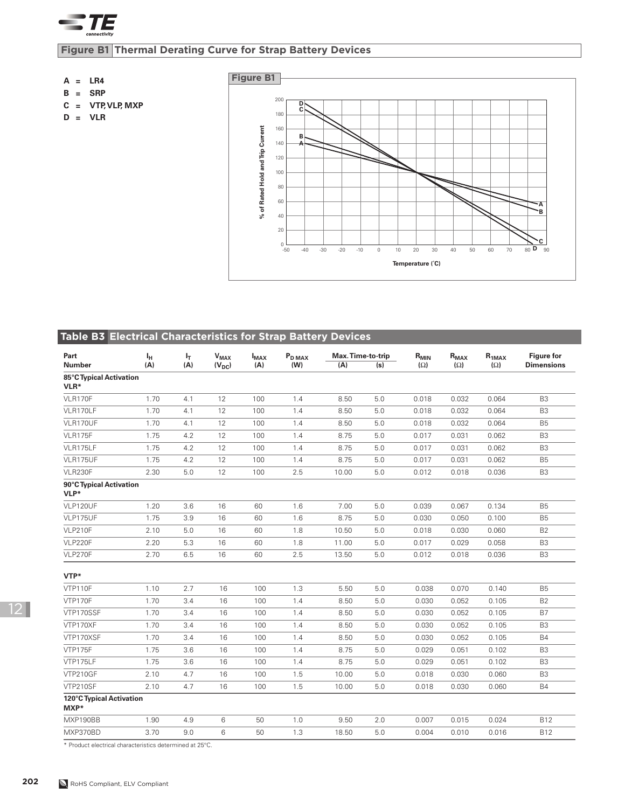

# **Figure B1 Thermal Derating Curve for Strap Battery Devices**

- **B = SRP**
- **C = VTP,VLP, MXP**
- **D = VLR**
- **A = Figure B1 LR4** 200 **C D** 180 % of Rated Hold and Trip Current 160 **% of Rated Hold andTrip Current B** 140 **A** 120 100 80 60 **A B** 40 20  $_{0}^{0}$  L **C** 80 **D** 90 -50 -40 -30 -20 -10 0 10 20 30 40 50 60 70 80**D** 90 **Temperature (˚C)**

# **Table B3 Electrical Characteristics for Strap Battery Devices**

| Part                             | ŀн   | I <sub>T</sub> | <b>V<sub>MAX</sub></b> | $I_{MAX}$ | $P_{D,MAX}$ | Max. Time-to-trip |     | $R_{MIN}$  | $R_{MAX}$  | $R_{1MAX}$ | <b>Figure for</b> |
|----------------------------------|------|----------------|------------------------|-----------|-------------|-------------------|-----|------------|------------|------------|-------------------|
| <b>Number</b>                    | (A)  | (A)            | $(V_{DC})$             | (A)       | (W)         | (A)               | (s) | $(\Omega)$ | $(\Omega)$ | $(\Omega)$ | <b>Dimensions</b> |
| 85°C Typical Activation<br>VLR*  |      |                |                        |           |             |                   |     |            |            |            |                   |
| VLR170F                          | 1.70 | 4.1            | 12                     | 100       | 1.4         | 8.50              | 5.0 | 0.018      | 0.032      | 0.064      | B <sub>3</sub>    |
| VLR170LF                         | 1.70 | 4.1            | 12                     | 100       | 1.4         | 8.50              | 5.0 | 0.018      | 0.032      | 0.064      | B <sub>3</sub>    |
| VLR170UF                         | 1.70 | 4.1            | 12                     | 100       | 1.4         | 8.50              | 5.0 | 0.018      | 0.032      | 0.064      | <b>B5</b>         |
| VLR175F                          | 1.75 | 4.2            | 12                     | 100       | 1.4         | 8.75              | 5.0 | 0.017      | 0.031      | 0.062      | B <sub>3</sub>    |
| VLR175LF                         | 1.75 | 4.2            | 12                     | 100       | 1.4         | 8.75              | 5.0 | 0.017      | 0.031      | 0.062      | B <sub>3</sub>    |
| VLR175UF                         | 1.75 | 4.2            | 12                     | 100       | 1.4         | 8.75              | 5.0 | 0.017      | 0.031      | 0.062      | B <sub>5</sub>    |
| VLR230F                          | 2.30 | 5.0            | 12                     | 100       | 2.5         | 10.00             | 5.0 | 0.012      | 0.018      | 0.036      | B <sub>3</sub>    |
| 90°C Typical Activation<br>VLP*  |      |                |                        |           |             |                   |     |            |            |            |                   |
| VLP120UF                         | 1.20 | 3.6            | 16                     | 60        | 1.6         | 7.00              | 5.0 | 0.039      | 0.067      | 0.134      | B <sub>5</sub>    |
| VLP175UF                         | 1.75 | 3.9            | 16                     | 60        | 1.6         | 8.75              | 5.0 | 0.030      | 0.050      | 0.100      | B <sub>5</sub>    |
| VLP210F                          | 2.10 | 5.0            | 16                     | 60        | 1.8         | 10.50             | 5.0 | 0.018      | 0.030      | 0.060      | <b>B2</b>         |
| VLP220F                          | 2.20 | 5.3            | 16                     | 60        | 1.8         | 11.00             | 5.0 | 0.017      | 0.029      | 0.058      | B <sub>3</sub>    |
| VLP270F                          | 2.70 | 6.5            | 16                     | 60        | 2.5         | 13.50             | 5.0 | 0.012      | 0.018      | 0.036      | B <sub>3</sub>    |
| VTP*                             |      |                |                        |           |             |                   |     |            |            |            |                   |
| VTP110F                          | 1.10 | 2.7            | 16                     | 100       | 1.3         | 5.50              | 5.0 | 0.038      | 0.070      | 0.140      | B <sub>5</sub>    |
| VTP170F                          | 1.70 | 3.4            | 16                     | 100       | 1.4         | 8.50              | 5.0 | 0.030      | 0.052      | 0.105      | B <sub>2</sub>    |
| VTP170SSF                        | 1.70 | 3.4            | 16                     | 100       | 1.4         | 8.50              | 5.0 | 0.030      | 0.052      | 0.105      | <b>B7</b>         |
| VTP170XF                         | 1.70 | 3.4            | 16                     | 100       | 1.4         | 8.50              | 5.0 | 0.030      | 0.052      | 0.105      | B <sub>3</sub>    |
| VTP170XSF                        | 1.70 | 3.4            | 16                     | 100       | 1.4         | 8.50              | 5.0 | 0.030      | 0.052      | 0.105      | <b>B4</b>         |
| VTP175F                          | 1.75 | 3.6            | 16                     | 100       | 1.4         | 8.75              | 5.0 | 0.029      | 0.051      | 0.102      | B <sub>3</sub>    |
| VTP175LF                         | 1.75 | 3.6            | 16                     | 100       | 1.4         | 8.75              | 5.0 | 0.029      | 0.051      | 0.102      | B <sub>3</sub>    |
| VTP210GF                         | 2.10 | 4.7            | 16                     | 100       | 1.5         | 10.00             | 5.0 | 0.018      | 0.030      | 0.060      | B <sub>3</sub>    |
| VTP210SF                         | 2.10 | 4.7            | 16                     | 100       | 1.5         | 10.00             | 5.0 | 0.018      | 0.030      | 0.060      | <b>B4</b>         |
| 120°C Typical Activation<br>MXP* |      |                |                        |           |             |                   |     |            |            |            |                   |
| MXP190BB                         | 1.90 | 4.9            | 6                      | 50        | 1.0         | 9.50              | 2.0 | 0.007      | 0.015      | 0.024      | <b>B12</b>        |
| MXP370BD                         | 3.70 | 9.0            | 6                      | 50        | 1.3         | 18.50             | 5.0 | 0.004      | 0.010      | 0.016      | <b>B12</b>        |

\* Product electrical characteristics determined at 25°C.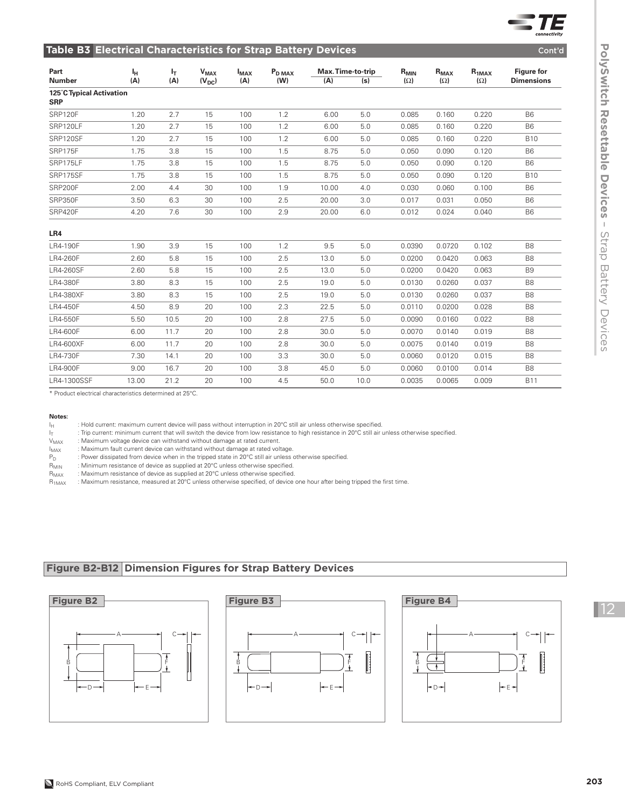| Table B3 Electrical Characteristics for Strap Battery Devices |                |       |                        |           |                             |                   |      |            |            |            | Cont'd            |
|---------------------------------------------------------------|----------------|-------|------------------------|-----------|-----------------------------|-------------------|------|------------|------------|------------|-------------------|
| Part                                                          | Ι <sub>Η</sub> | $I_T$ | <b>V<sub>MAX</sub></b> | $I_{MAX}$ | $\mathbf{P}_{\text{D MAX}}$ | Max. Time-to-trip |      | $R_{MIN}$  | $R_{MAX}$  | $R_{1MAX}$ | <b>Figure for</b> |
| <b>Number</b>                                                 | (A)            | (A)   | $(V_{DC})$             | (A)       | (W)                         | (A)               | (s)  | $(\Omega)$ | $(\Omega)$ | $(\Omega)$ | <b>Dimensions</b> |
| 125°C Typical Activation<br><b>SRP</b>                        |                |       |                        |           |                             |                   |      |            |            |            |                   |
| SRP120F                                                       | 1.20           | 2.7   | 15                     | 100       | 1.2                         | 6.00              | 5.0  | 0.085      | 0.160      | 0.220      | <b>B6</b>         |
| SRP120LF                                                      | 1.20           | 2.7   | 15                     | 100       | 1.2                         | 6.00              | 5.0  | 0.085      | 0.160      | 0.220      | B <sub>6</sub>    |
| SRP120SF                                                      | 1.20           | 2.7   | 15                     | 100       | 1.2                         | 6.00              | 5.0  | 0.085      | 0.160      | 0.220      | <b>B10</b>        |
| SRP175F                                                       | 1.75           | 3.8   | 15                     | 100       | 1.5                         | 8.75              | 5.0  | 0.050      | 0.090      | 0.120      | B <sub>6</sub>    |
| SRP175LF                                                      | 1.75           | 3.8   | 15                     | 100       | 1.5                         | 8.75              | 5.0  | 0.050      | 0.090      | 0.120      | B <sub>6</sub>    |
| SRP175SF                                                      | 1.75           | 3.8   | 15                     | 100       | 1.5                         | 8.75              | 5.0  | 0.050      | 0.090      | 0.120      | <b>B10</b>        |
| SRP200F                                                       | 2.00           | 4.4   | 30                     | 100       | 1.9                         | 10.00             | 4.0  | 0.030      | 0.060      | 0.100      | B <sub>6</sub>    |
| SRP350F                                                       | 3.50           | 6.3   | 30                     | 100       | 2.5                         | 20.00             | 3.0  | 0.017      | 0.031      | 0.050      | B <sub>6</sub>    |
| SRP420F                                                       | 4.20           | 7.6   | 30                     | 100       | 2.9                         | 20.00             | 6.0  | 0.012      | 0.024      | 0.040      | B <sub>6</sub>    |
| LR4                                                           |                |       |                        |           |                             |                   |      |            |            |            |                   |
| LR4-190F                                                      | 1.90           | 3.9   | 15                     | 100       | 1.2                         | 9.5               | 5.0  | 0.0390     | 0.0720     | 0.102      | B <sub>8</sub>    |
| LR4-260F                                                      | 2.60           | 5.8   | 15                     | 100       | 2.5                         | 13.0              | 5.0  | 0.0200     | 0.0420     | 0.063      | B <sub>8</sub>    |
| LR4-260SF                                                     | 2.60           | 5.8   | 15                     | 100       | 2.5                         | 13.0              | 5.0  | 0.0200     | 0.0420     | 0.063      | B <sub>9</sub>    |
| LR4-380F                                                      | 3.80           | 8.3   | 15                     | 100       | 2.5                         | 19.0              | 5.0  | 0.0130     | 0.0260     | 0.037      | B <sub>8</sub>    |
| LR4-380XF                                                     | 3.80           | 8.3   | 15                     | 100       | 2.5                         | 19.0              | 5.0  | 0.0130     | 0.0260     | 0.037      | B <sub>8</sub>    |
| LR4-450F                                                      | 4.50           | 8.9   | 20                     | 100       | 2.3                         | 22.5              | 5.0  | 0.0110     | 0.0200     | 0.028      | B <sub>8</sub>    |
| LR4-550F                                                      | 5.50           | 10.5  | 20                     | 100       | 2.8                         | 27.5              | 5.0  | 0.0090     | 0.0160     | 0.022      | B <sub>8</sub>    |
| LR4-600F                                                      | 6.00           | 11.7  | 20                     | 100       | 2.8                         | 30.0              | 5.0  | 0.0070     | 0.0140     | 0.019      | B <sub>8</sub>    |
| LR4-600XF                                                     | 6.00           | 11.7  | 20                     | 100       | 2.8                         | 30.0              | 5.0  | 0.0075     | 0.0140     | 0.019      | B <sub>8</sub>    |
| LR4-730F                                                      | 7.30           | 14.1  | 20                     | 100       | 3.3                         | 30.0              | 5.0  | 0.0060     | 0.0120     | 0.015      | B <sub>8</sub>    |
| LR4-900F                                                      | 9.00           | 16.7  | 20                     | 100       | 3.8                         | 45.0              | 5.0  | 0.0060     | 0.0100     | 0.014      | B8                |
| LR4-1300SSF                                                   | 13.00          | 21.2  | 20                     | 100       | 4.5                         | 50.0              | 10.0 | 0.0035     | 0.0065     | 0.009      | <b>B11</b>        |

\* Product electrical characteristics determined at 25°C.

## **Notes:**

I<sub>H</sub> : Hold current: maximum current device will pass without interruption in 20°C still air unless otherwise specified.<br>I<sub>T</sub> : Trip current: minimum current that will switch the device from low resistance to high resista

 $I_{T}$  : Trip current: minimum current that will switch the device from low resistance to high resistance in 20°C still air unless otherwise specified.<br>V<sub>MAX</sub> : Maximum voltage device can withstand without damage at rated

 $V_{MAX}$  : Maximum voltage device can withstand without damage at rated current.<br> $I_{MAX}$  : Maximum fault current device can withstand without damage at rated volt

 $I_{MAX}$  : Maximum fault current device can withstand without damage at rated voltage.<br> $P_D$  : Power dissipated from device when in the tripped state in 20°C still air unless  $P_D$  : Power dissipated from device when in the tripped state in 20°C still air unless otherwise specified.<br> $R_{MIN}$  : Minimum resistance of device as supplied at 20°C unless otherwise specified.

 $R_{\text{MIN}}$  : Minimum resistance of device as supplied at 20°C unless otherwise specified.<br> $R_{\text{MAX}}$  : Maximum resistance of device as supplied at 20°C unless otherwise specified

 $R_{MAX}$  : Maximum resistance of device as supplied at 20°C unless otherwise specified.<br> $R_{1MAX}$  : Maximum resistance, measured at 20°C unless otherwise specified, of device : Maximum resistance, measured at 20°C unless otherwise specified, of device one hour after being tripped the first time.

# **Figure B2-B12 Dimension Figures for Strap Battery Devices**







**N** RoHS Compliant, ELV Compliant **203**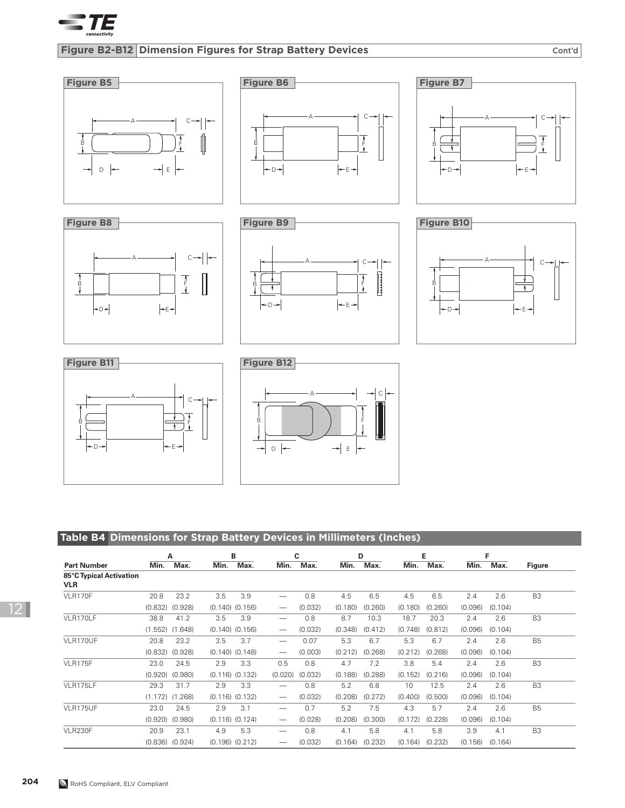

# **Figure B2-B12 Dimension Figures for Strap Battery Devices Cont'd** Cont'd

















# **Table B4 Dimensions for Strap Battery Devices in Millimeters (Inches)**

|                                       |         | А       |         | в                   |                                 | C            |         | D       |         | Е       |         | F       |                |
|---------------------------------------|---------|---------|---------|---------------------|---------------------------------|--------------|---------|---------|---------|---------|---------|---------|----------------|
| <b>Part Number</b>                    | Min.    | Max.    | Min.    | Max.                | Min.                            | $\n  Max.\n$ | Min.    | Max.    | Min.    | Max.    | Min.    | Max.    | Figure         |
| 85°C Typical Activation<br><b>VLR</b> |         |         |         |                     |                                 |              |         |         |         |         |         |         |                |
| VLR170F                               | 20.8    | 23.2    | 3.5     | 3.9                 |                                 | 0.8          | 4.5     | 6.5     | 4.5     | 6.5     | 2.4     | 2.6     | B <sub>3</sub> |
|                                       | (0.832) | (0.928) | (0.140) | (0.156)             | —                               | (0.032)      | (0.180) | (0.260) | (0.180) | (0.260) | (0.096) | (0.104) |                |
| VLR170LF                              | 38.8    | 41.2    | 3.5     | 3.9                 | $\overline{\phantom{0}}$        | 0.8          | 8.7     | 10.3    | 18.7    | 20.3    | 2.4     | 2.6     | B <sub>3</sub> |
|                                       | (1.552) | (1.648) | (0.140) | (0.156)             |                                 | (0.032)      | (0.348) | (0.412) | (0.748) | (0.812) | (0.096) | (0.104) |                |
| VLR170UF                              | 20.8    | 23.2    | 3.5     | 3.7                 | —                               | 0.07         | 5.3     | 6.7     | 5.3     | 6.7     | 2.4     | 2.6     | <b>B5</b>      |
|                                       | (0.832) | (0.928) |         | $(0.140)$ $(0.148)$ | $\hspace{0.1mm}-\hspace{0.1mm}$ | (0.003)      | (0.212) | (0.268) | (0.212) | (0.268) | (0.096) | (0.104) |                |
| <b>VLR175F</b>                        | 23.0    | 24.5    | 2.9     | 3.3                 | 0.5                             | 0.8          | 4.7     | 7.2     | 3.8     | 5.4     | 2.4     | 2.6     | B <sub>3</sub> |
|                                       | (0.920) | (0.980) |         | $(0.116)$ $(0.132)$ | (0.020)                         | (0.032)      | (0.188) | (0.288) | (0.152) | (0.216) | (0.096) | (0.104) |                |
| VLR175LF                              | 29.3    | 31.7    | 2.9     | 3.3                 | –                               | 0.8          | 5.2     | 6.8     | 10      | 12.5    | 2.4     | 2.6     | B <sub>3</sub> |
|                                       | (1.172) | (1.268) |         | $(0.116)$ $(0.132)$ | $\hspace{0.1mm}-\hspace{0.1mm}$ | (0.032)      | (0.208) | (0.272) | (0.400) | (0.500) | (0.096) | (0.104) |                |
| VLR175UF                              | 23.0    | 24.5    | 2.9     | 3.1                 | $\overline{\phantom{m}}$        | 0.7          | 5.2     | 7.5     | 4.3     | 5.7     | 2.4     | 2.6     | <b>B5</b>      |
|                                       | (0.920) | (0.980) |         | $(0.116)$ $(0.124)$ |                                 | (0.028)      | (0.208) | (0.300) | (0.172) | (0.228) | (0.096) | (0.104) |                |
| VLR230F                               | 20.9    | 23.1    | 4.9     | 5.3                 | —                               | 0.8          | 4.1     | 5.8     | 4.1     | 5.8     | 3.9     | 4.1     | B <sub>3</sub> |
|                                       | (0.836) | (0.924) |         | $(0.196)$ $(0.212)$ |                                 | (0.032)      | (0.164) | (0.232) | (0.164) | (0.232) | (0.156) | (0.164) |                |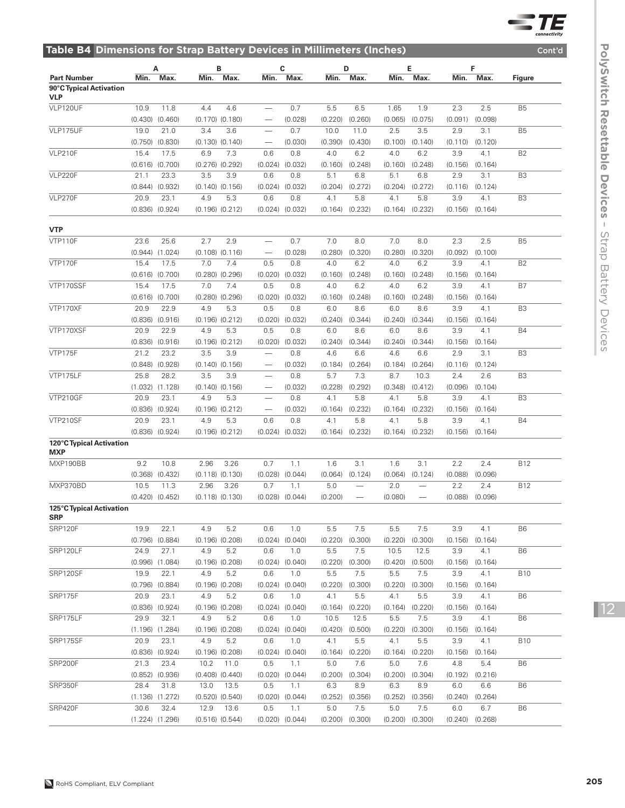| connectivity |
|--------------|

| Table B4 Dimensions for Strap Battery Devices in Millimeters (Inches) |                     |                     |                                     |                    |                                            |                    | Cont'd         |
|-----------------------------------------------------------------------|---------------------|---------------------|-------------------------------------|--------------------|--------------------------------------------|--------------------|----------------|
|                                                                       | А                   | B                   | C                                   | D                  | Е                                          | F                  |                |
| <b>Part Number</b>                                                    | Min.<br>Max.        | Max.<br>Min.        | Max.<br>Min.                        | Max.<br>Min.       | Max.<br>Min.                               | Min.<br>Max.       | <b>Figure</b>  |
| 90°C Typical Activation<br><b>VLP</b>                                 |                     |                     |                                     |                    |                                            |                    |                |
| VLP120UF                                                              | 10.9<br>11.8        | 4.6<br>4.4          | 0.7<br>$\overbrace{\qquad \qquad }$ | 5.5<br>6.5         | 1.65<br>1.9                                | 2.3<br>2.5         | B <sub>5</sub> |
|                                                                       | (0.430)<br>(0.460)  | $(0.170)$ $(0.180)$ | (0.028)<br>-                        | (0.220)<br>(0.260) | (0.065)<br>(0.075)                         | (0.091)<br>(0.098) |                |
| VLP175UF                                                              | 19.0<br>21.0        | 3.4<br>3.6          | 0.7<br>$\overline{\phantom{0}}$     | 10.0<br>11.0       | 2.5<br>3.5                                 | 2.9<br>3.1         | B <sub>5</sub> |
|                                                                       | (0.830)<br>(0.750)  | $(0.130)$ $(0.140)$ | (0.030)                             | (0.390)<br>(0.430) | (0.100)<br>(0.140)                         | (0.110)<br>(0.120) |                |
| VLP210F                                                               | 17.5<br>15.4        | 6.9<br>7.3          | 0.6<br>0.8                          | 4.0<br>6.2         | 4.0<br>6.2                                 | 3.9<br>4.1         | <b>B2</b>      |
|                                                                       | (0.700)<br>(0.616)  | $(0.276)$ $(0.292)$ | (0.024)<br>(0.032)                  | (0.160)<br>(0.248) | (0.248)<br>(0.160)                         | (0.164)<br>(0.156) |                |
| VLP220F                                                               | 21.1<br>23.3        | 3.5<br>3.9          | 0.6<br>0.8                          | 5.1<br>6.8         | 5.1<br>6.8                                 | 2.9<br>3.1         | B <sub>3</sub> |
|                                                                       | (0.844)<br>(0.932)  | $(0.140)$ $(0.156)$ | (0.024)<br>(0.032)                  | (0.204)<br>(0.272) | (0.204)<br>(0.272)                         | (0.124)<br>(0.116) |                |
| VLP270F                                                               | 20.9<br>23.1        | 4.9<br>5.3          | 0.6<br>0.8                          | 4.1<br>5.8         | 4.1<br>5.8                                 | 3.9<br>4.1         | B <sub>3</sub> |
|                                                                       | $(0.836)$ $(0.924)$ | $(0.196)$ $(0.212)$ | (0.024)<br>(0.032)                  | (0.164)<br>(0.232) | (0.232)<br>(0.164)                         | (0.156)<br>(0.164) |                |
|                                                                       |                     |                     |                                     |                    |                                            |                    |                |
| <b>VTP</b>                                                            |                     |                     |                                     |                    |                                            |                    |                |
| VTP110F                                                               | 23.6<br>25.6        | 2.7<br>2.9          | 0.7<br>$\overline{\phantom{0}}$     | 7.0<br>8.0         | 7.0<br>8.0                                 | 2.5<br>2.3         | B <sub>5</sub> |
|                                                                       | (1.024)<br>(0.944)  | (0.116)<br>(0.108)  | (0.028)                             | (0.280)<br>(0.320) | (0.280)<br>(0.320)                         | (0.092)<br>(0.100) |                |
| VTP170F                                                               | 17.5<br>15.4        | 7.0<br>7.4          | 0.8<br>0.5                          | 4.0<br>6.2         | 6.2<br>4.0                                 | 3.9<br>4.1         | <b>B2</b>      |
|                                                                       | (0.700)<br>(0.616)  | $(0.280)$ $(0.296)$ | (0.020)<br>(0.032)                  | (0.160)<br>(0.248) | (0.160)<br>(0.248)                         | (0.156)<br>(0.164) |                |
| VTP170SSF                                                             | 15.4<br>17.5        | 7.0<br>7.4          | 0.5<br>0.8                          | 4.0<br>6.2         | 4.0<br>6.2                                 | 3.9<br>4.1         | <b>B7</b>      |
|                                                                       | $(0.616)$ $(0.700)$ | $(0.280)$ $(0.296)$ | (0.020)<br>(0.032)                  | (0.160)<br>(0.248) | (0.248)<br>(0.160)                         | (0.156)<br>(0.164) |                |
| VTP170XF                                                              | 20.9<br>22.9        | 4.9<br>5.3          | 0.5<br>0.8                          | 6.0<br>8.6         | 6.0<br>8.6                                 | 3.9<br>4.1         | B <sub>3</sub> |
|                                                                       | (0.836)<br>(0.916)  | $(0.196)$ $(0.212)$ | (0.020)<br>(0.032)                  | (0.240)<br>(0.344) | (0.240)<br>(0.344)                         | (0.156)<br>(0.164) |                |
| VTP170XSF                                                             | 22.9<br>20.9        | 4.9<br>5.3          | 0.5<br>0.8                          | $6.0$<br>8.6       | 6.0<br>8.6                                 | 3.9<br>4.1         | <b>B4</b>      |
|                                                                       | (0.916)<br>(0.836)  | $(0.196)$ $(0.212)$ | (0.032)<br>(0.020)                  | (0.240)<br>(0.344) | (0.240)<br>(0.344)                         | (0.156)<br>(0.164) |                |
| VTP175F                                                               | 21.2<br>23.2        | 3.5<br>3.9          | 0.8                                 | 4.6<br>6.6         | 4.6<br>6.6                                 | 2.9<br>3.1         | B <sub>3</sub> |
|                                                                       | (0.848)<br>(0.928)  | $(0.140)$ $(0.156)$ | (0.032)                             | (0.184)<br>(0.264) | (0.264)<br>(0.184)                         | (0.116)<br>(0.124) |                |
| VTP175LF                                                              | 25.8<br>28.2        | 3.5<br>3.9          | 0.8                                 | 5.7<br>7.3         | 8.7<br>10.3                                | 2.4<br>2.6         | B <sub>3</sub> |
|                                                                       | (1.032)<br>(1.128)  | $(0.140)$ $(0.156)$ | (0.032)<br>$\qquad \qquad$          | (0.228)<br>(0.292) | (0.348)<br>(0.412)                         | (0.096)<br>(0.104) |                |
| VTP210GF                                                              | 23.1<br>20.9        | 4.9<br>5.3          | 0.8<br>$\overline{\phantom{m}}$     | 5.8<br>4.1         | 4.1<br>5.8                                 | 3.9<br>4.1         | B <sub>3</sub> |
|                                                                       | (0.924)<br>(0.836)  | $(0.196)$ $(0.212)$ | (0.032)                             | (0.232)<br>(0.164) | (0.164)<br>(0.232)                         | (0.156)<br>(0.164) |                |
| VTP210SF                                                              | 20.9<br>23.1        | 4.9<br>5.3          | 0.6<br>0.8                          | 4.1<br>5.8         | 4.1<br>5.8                                 | 3.9<br>4.1         | <b>B4</b>      |
|                                                                       | $(0.836)$ $(0.924)$ | $(0.196)$ $(0.212)$ | (0.024)<br>(0.032)                  | (0.164)<br>(0.232) | (0.232)<br>(0.164)                         | (0.156)<br>(0.164) |                |
| 120°C Typical Activation                                              |                     |                     |                                     |                    |                                            |                    |                |
| <b>MXP</b>                                                            |                     |                     |                                     |                    |                                            |                    |                |
| MXP190BB                                                              | 9.2<br>10.8         | 2.96<br>3.26        | 1.1<br>0.7                          | 1.6<br>3.1         | 1.6<br>3.1                                 | 2.2<br>2.4         | <b>B12</b>     |
|                                                                       | (0.368)<br>(0.432)  | $(0.118)$ $(0.130)$ | (0.028)<br>(0.044)                  | (0.064)<br>(0.124) | (0.064)<br>(0.124)                         | (0.088)<br>(0.096) |                |
| MXP370BD                                                              | 10.5<br>11.3        | 2.96<br>3.26        | 0.7<br>1.1                          | 5.0                | 2.0                                        | 2.2<br>2.4         | <b>B12</b>     |
|                                                                       | $(0.420)$ $(0.452)$ | $(0.118)$ $(0.130)$ | $(0.028)$ $(0.044)$                 | (0.200)            | (0.080)<br>$\hspace{0.1mm}-\hspace{0.1mm}$ | (0.088)<br>(0.096) |                |
| 125°C Typical Activation                                              |                     |                     |                                     |                    |                                            |                    |                |
| <b>SRP</b>                                                            |                     |                     |                                     |                    |                                            |                    |                |
| SRP120F                                                               | 19.9<br>22.1        | 4.9<br>5.2          | 0.6<br>1.0                          | 5.5<br>7.5         | 5.5<br>7.5                                 | 3.9<br>4.1         | B <sub>6</sub> |
|                                                                       | (0.796)<br>(0.884)  | $(0.196)$ $(0.208)$ | (0.024)<br>(0.040)                  | (0.220)<br>(0.300) | (0.220)<br>(0.300)                         | (0.156)<br>(0.164) |                |
| SRP120LF                                                              | 24.9<br>27.1        | 4.9<br>5.2          | 0.6<br>1.0                          | 5.5<br>7.5         | 10.5<br>12.5                               | 3.9<br>4.1         | B6             |
|                                                                       | $(0.996)$ $(1.084)$ | $(0.196)$ $(0.208)$ | (0.024)<br>(0.040)                  | (0.220)<br>(0.300) | (0.420)<br>(0.500)                         | (0.156)<br>(0.164) |                |
| SRP120SF                                                              | 19.9<br>22.1        | 4.9<br>5.2          | 0.6<br>1.0                          | 5.5<br>7.5         | 5.5<br>7.5                                 | 3.9<br>4.1         | <b>B10</b>     |
|                                                                       | $(0.796)$ $(0.884)$ | $(0.196)$ $(0.208)$ | (0.024)<br>(0.040)                  | (0.220)<br>(0.300) | (0.220)<br>(0.300)                         | (0.156)<br>(0.164) |                |
| SRP175F                                                               | 20.9<br>23.1        | 4.9<br>5.2          | 0.6<br>1.0                          | 4.1<br>5.5         | 4.1<br>5.5                                 | 3.9<br>4.1         | B6             |
|                                                                       | (0.836)<br>(0.924)  | $(0.196)$ $(0.208)$ | (0.024)<br>(0.040)                  | (0.220)<br>(0.164) | (0.164)<br>(0.220)                         | (0.156)<br>(0.164) |                |
| SRP175LF                                                              | 29.9<br>32.1        | 4.9<br>5.2          | 0.6<br>1.0                          | 10.5<br>12.5       | 5.5<br>7.5                                 | 3.9<br>4.1         | B <sub>6</sub> |
|                                                                       | $(1.196)$ $(1.284)$ | $(0.196)$ $(0.208)$ | (0.024)<br>(0.040)                  | (0.420)<br>(0.500) | (0.220)<br>(0.300)                         | (0.156)<br>(0.164) |                |
| SRP175SF                                                              | 20.9<br>23.1        | 4.9<br>5.2          | 0.6<br>1.0                          | 4.1<br>5.5         | 4.1<br>5.5                                 | 3.9<br>4.1         | <b>B10</b>     |
|                                                                       | $(0.836)$ $(0.924)$ | $(0.196)$ $(0.208)$ | (0.024)<br>(0.040)                  | (0.164)<br>(0.220) | (0.220)<br>(0.164)                         | (0.164)<br>(0.156) |                |
| SRP200F                                                               | 21.3<br>23.4        | 10.2<br>11.0        | 0.5<br>1.1                          | 5.0<br>7.6         | 5.0<br>7.6                                 | 4.8<br>5.4         | B6             |
|                                                                       | (0.852)<br>(0.936)  | $(0.408)$ $(0.440)$ | (0.020)<br>(0.044)                  | (0.200)<br>(0.304) | (0.200)<br>(0.304)                         | (0.192)<br>(0.216) |                |
| SRP350F                                                               | 28.4<br>31.8        | 13.0<br>13.5        | 0.5<br>1.1                          | 6.3<br>8.9         | 6.3<br>8.9                                 | 6.0<br>6.6         | B6             |
|                                                                       | $(1.136)$ $(1.272)$ | $(0.520)$ $(0.540)$ | (0.020)<br>(0.044)                  | (0.252)<br>(0.356) | (0.252)<br>(0.356)                         | (0.240)<br>(0.264) |                |
| SRP420F                                                               | 30.6<br>32.4        | 12.9<br>13.6        | 0.5<br>1.1                          | $5.0$<br>7.5       | $5.0\,$<br>7.5                             | 6.0<br>6.7         | B6             |
|                                                                       | $(1.224)$ $(1.296)$ | $(0.516)$ $(0.544)$ | $(0.020)$ $(0.044)$                 | (0.200)<br>(0.300) | (0.200)<br>(0.300)                         | (0.240)<br>(0.268) |                |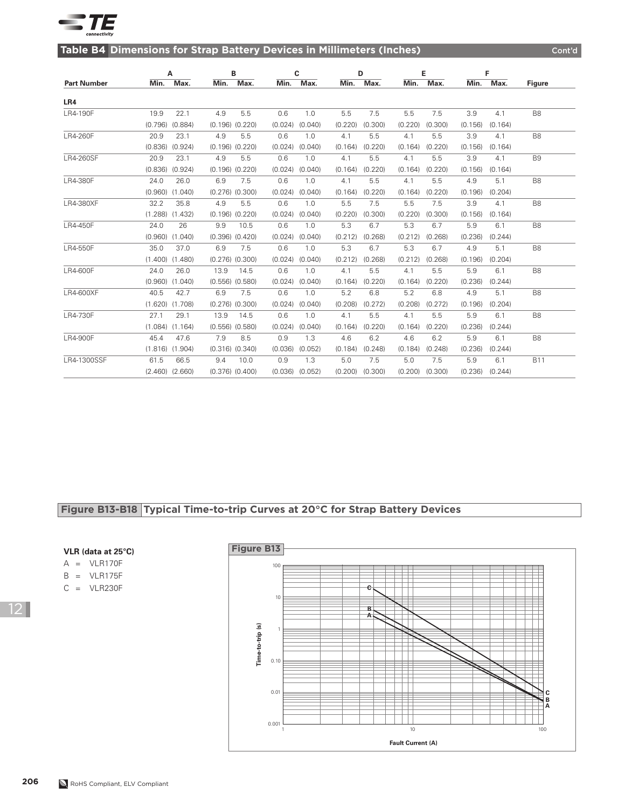

| Table B4 Dimensions for Strap Battery Devices in Millimeters (Inches) |         |                     |                     |                     |         |         |         |                     |         |         |         |         | Cont'd         |
|-----------------------------------------------------------------------|---------|---------------------|---------------------|---------------------|---------|---------|---------|---------------------|---------|---------|---------|---------|----------------|
|                                                                       |         | А                   |                     | в                   |         | C       |         | D                   |         | E       |         | F       |                |
| <b>Part Number</b>                                                    | Min.    | Max.                | Min.                | Max.                | Min.    | Max.    | Min.    | Max.                | Min.    | Max.    | Min.    | Max.    | <b>Figure</b>  |
| LR4                                                                   |         |                     |                     |                     |         |         |         |                     |         |         |         |         |                |
| LR4-190F                                                              | 19.9    | 22.1                | 4.9                 | 5.5                 | 0.6     | 1.0     | 5.5     | 7.5                 | 5.5     | 7.5     | 3.9     | 4.1     | B <sub>8</sub> |
|                                                                       | (0.796) | (0.884)             | $(0.196)$ $(0.220)$ |                     | (0.024) | (0.040) | (0.220) | (0.300)             | (0.220) | (0.300) | (0.156) | (0.164) |                |
| LR4-260F                                                              | 20.9    | 23.1                | 4.9                 | 5.5                 | 0.6     | 1.0     | 4.1     | 5.5                 | 4.1     | 5.5     | 3.9     | 4.1     | B <sub>8</sub> |
|                                                                       | (0.836) | (0.924)             | $(0.196)$ $(0.220)$ |                     | (0.024) | (0.040) | (0.164) | (0.220)             | (0.164) | (0.220) | (0.156) | (0.164) |                |
| LR4-260SF                                                             | 20.9    | 23.1                | 4.9                 | 5.5                 | 0.6     | 1.0     | 4.1     | 5.5                 | 4.1     | 5.5     | 3.9     | 4.1     | B <sub>9</sub> |
|                                                                       | (0.836) | (0.924)             | (0.196)             | (0.220)             | (0.024) | (0.040) | (0.164) | (0.220)             | (0.164) | (0.220) | (0.156) | (0.164) |                |
| LR4-380F                                                              | 24.0    | 26.0                | 6.9                 | 7.5                 | 0.6     | 1.0     | 4.1     | 5.5                 | 4.1     | 5.5     | 4.9     | 5.1     | B <sub>8</sub> |
|                                                                       | (0.960) | (1.040)             | (0.276)             | (0.300)             | (0.024) | (0.040) | (0.164) | (0.220)             | (0.164) | (0.220) | (0.196) | (0.204) |                |
| LR4-380XF                                                             | 32.2    | 35.8                | 4.9                 | 5.5                 | 0.6     | 1.0     | 5.5     | 7.5                 | 5.5     | 7.5     | 3.9     | 4.1     | B <sub>8</sub> |
|                                                                       | (1.288) | (1.432)             | (0.196)             | (0.220)             | (0.024) | (0.040) | (0.220) | (0.300)             | (0.220) | (0.300) | (0.156) | (0.164) |                |
| LR4-450F                                                              | 24.0    | 26                  | 9.9                 | 10.5                | 0.6     | 1.0     | 5.3     | 6.7                 | 5.3     | 6.7     | 5.9     | 6.1     | B <sub>8</sub> |
|                                                                       | (0.960) | (1.040)             | (0.396)             | (0.420)             | (0.024) | (0.040) | (0.212) | (0.268)             | (0.212) | (0.268) | (0.236) | (0.244) |                |
| LR4-550F                                                              | 35.0    | 37.0                | 6.9                 | 7.5                 | 0.6     | 1.0     | 5.3     | 6.7                 | 5.3     | 6.7     | 4.9     | 5.1     | B <sub>8</sub> |
|                                                                       | (1.400) | (1.480)             | (0.276)             | (0.300)             | (0.024) | (0.040) | (0.212) | (0.268)             | (0.212) | (0.268) | (0.196) | (0.204) |                |
| LR4-600F                                                              | 24.0    | 26.0                | 13.9                | 14.5                | 0.6     | 1.0     | 4.1     | 5.5                 | 4.1     | 5.5     | 5.9     | 6.1     | B <sub>8</sub> |
|                                                                       | (0.960) | (1.040)             | (0.556)             | (0.580)             | (0.024) | (0.040) | (0.164) | (0.220)             | (0.164) | (0.220) | (0.236) | (0.244) |                |
| LR4-600XF                                                             | 40.5    | 42.7                | 6.9                 | 7.5                 | 0.6     | 1.0     | 5.2     | 6.8                 | 5.2     | 6.8     | 4.9     | 5.1     | B <sub>8</sub> |
|                                                                       | (1.620) | (1.708)             | (0.276)             | (0.300)             | (0.024) | (0.040) | (0.208) | (0.272)             | (0.208) | (0.272) | (0.196) | (0.204) |                |
| LR4-730F                                                              | 27.1    | 29.1                | 13.9                | 14.5                | 0.6     | 1.0     | 4.1     | 5.5                 | 4.1     | 5.5     | 5.9     | 6.1     | B <sub>8</sub> |
|                                                                       | (1.084) | (1.164)             | (0.556)             | (0.580)             | (0.024) | (0.040) | (0.164) | (0.220)             | (0.164) | (0.220) | (0.236) | (0.244) |                |
| LR4-900F                                                              | 45.4    | 47.6                | 7.9                 | 8.5                 | 0.9     | 1.3     | 4.6     | 6.2                 | 4.6     | 6.2     | 5.9     | 6.1     | B <sub>8</sub> |
|                                                                       | (1.816) | (1.904)             |                     | $(0.316)$ $(0.340)$ | (0.036) | (0.052) | (0.184) | (0.248)             | (0.184) | (0.248) | (0.236) | (0.244) |                |
| LR4-1300SSF                                                           | 61.5    | 66.5                | 9.4                 | 10.0                | 0.9     | 1.3     | 5.0     | 7.5                 | 5.0     | 7.5     | 5.9     | 6.1     | <b>B11</b>     |
|                                                                       |         | $(2.460)$ $(2.660)$ |                     | $(0.376)$ $(0.400)$ | (0.036) | (0.052) |         | $(0.200)$ $(0.300)$ | (0.200) | (0.300) | (0.236) | (0.244) |                |

# **Figure B13-B18 Typical Time-to-trip Curves at 20°C for Strap Battery Devices**

- A = VLR170F
- B = VLR175F
- C = VLR230F

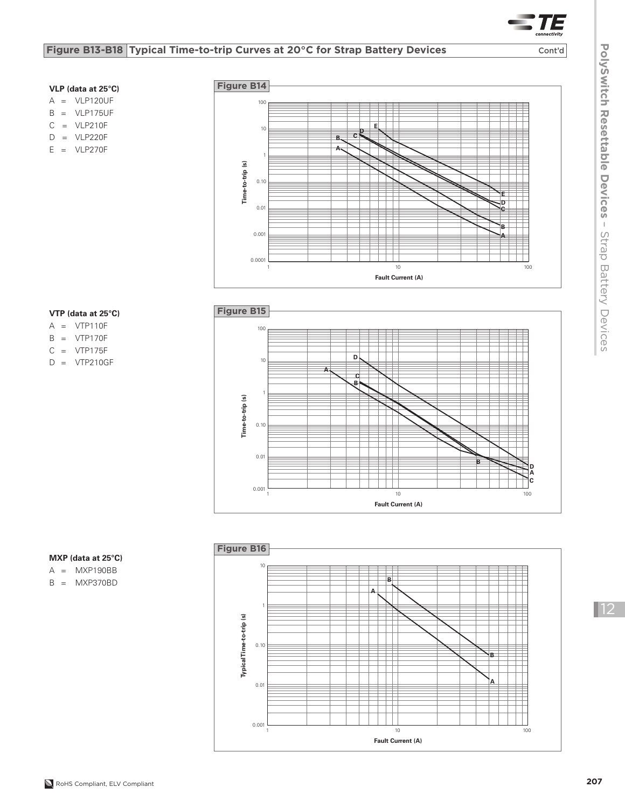# **Figure B13-B18** Typical Time-to-trip Curves at 20°C for Strap Battery Devices **Conti**d

# **PolySwitchResettableDevices** – Strap Battery

Devices

- A = VLP120UF
- B = VLP175UF
- C = VLP210F
- D = VLP220F
- E = VLP270F

A = VTP110F B = VTP170F C = VTP175F D = VTP210GF





# **MXP (data at 25°C)**

- A = MXP190BB
- B = MXP370BD

**Figure B16** 10 **B A** 1 TypicalTime-to-trip (s) **TypicalTime-to-trip (s)** 0.10 **B** 0.01 **A** 0.001  $10$  100 **Fault Current (A)**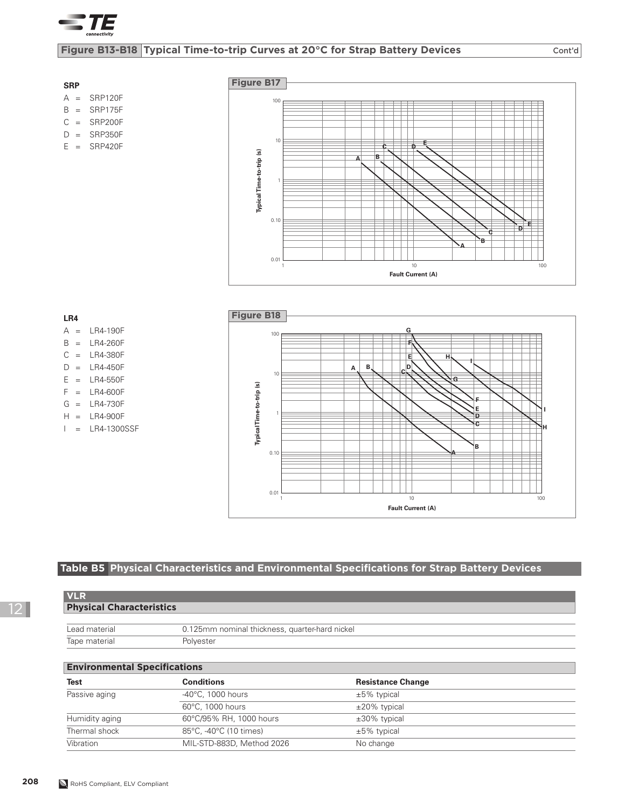

# **Figure B13-B18** Typical Time-to-trip Curves at 20°C for Strap Battery Devices **Conti**d

- A = SRP120F
- B = SRP175F
- C = SRP200F
- D = SRP350F
- $E =$  SRP420F

A = LR4-190F B = LR4-260F C = LR4-380F  $D = LR4-450F$  $E = LR4-550F$ F = LR4-600F G = LR4-730F H = LR4-900F I = LR4-1300SSF





# **Table B5 Physical Characteristics and Environmental Specifications for Strap Battery Devices**

| <b>VLR</b>                          |                                                |                          |
|-------------------------------------|------------------------------------------------|--------------------------|
| <b>Physical Characteristics</b>     |                                                |                          |
| Lead material                       | 0.125mm nominal thickness, quarter-hard nickel |                          |
| Tape material                       | Polyester                                      |                          |
| <b>Environmental Specifications</b> |                                                |                          |
| Test                                | <b>Conditions</b>                              | <b>Resistance Change</b> |

| lest           | Conditions                  | <b>Resistance Change</b> |  |
|----------------|-----------------------------|--------------------------|--|
| Passive aging  | $-40^{\circ}$ C, 1000 hours | $\pm 5\%$ typical        |  |
|                | 60°C, 1000 hours            | $\pm 20\%$ typical       |  |
| Humidity aging | 60°C/95% RH, 1000 hours     | ±30% typical             |  |
| Thermal shock  | 85°C. -40°C (10 times)      | $\pm 5\%$ typical        |  |
| Vibration      | MIL-STD-883D, Method 2026   | No change                |  |
|                |                             |                          |  |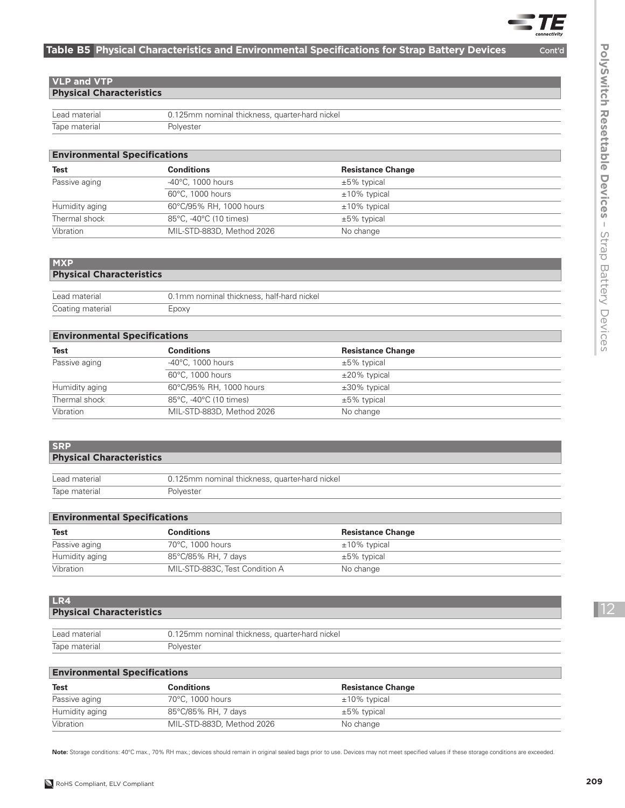# **Table B5** Physical Characteristics and Environmental Specifications for Strap Battery Devices **Contid**

# **VLP and VTP Physical Characteristics**

| Lead material | 0.125mm nominal thickness, quarter-hard nickel |
|---------------|------------------------------------------------|
| Tape material | olyester                                       |

# **Environmental Specifications**

| <b>Test</b>    | <b>Conditions</b>           | <b>Resistance Change</b> |  |
|----------------|-----------------------------|--------------------------|--|
| Passive aging  | $-40^{\circ}$ C, 1000 hours | $±5\%$ typical           |  |
|                | 60°C, 1000 hours            | $±10\%$ typical          |  |
| Humidity aging | 60°C/95% RH, 1000 hours     | $±10\%$ typical          |  |
| Thermal shock  | 85°C. -40°C (10 times)      | $\pm 5\%$ typical        |  |
| Vibration      | MIL-STD-883D, Method 2026   | No change                |  |

| <b>MXP</b>                      |                                           |  |
|---------------------------------|-------------------------------------------|--|
| <b>Physical Characteristics</b> |                                           |  |
|                                 |                                           |  |
| Lead material                   | 0.1mm nominal thickness, half-hard nickel |  |
| Coating material                | Epoxy                                     |  |

| <b>Environmental Specifications</b> |                             |                          |  |
|-------------------------------------|-----------------------------|--------------------------|--|
| Test                                | <b>Conditions</b>           | <b>Resistance Change</b> |  |
| Passive aging                       | $-40^{\circ}$ C. 1000 hours | $±5\%$ typical           |  |
|                                     | 60°C, 1000 hours            | $\pm 20\%$ typical       |  |
| Humidity aging                      | 60°C/95% RH, 1000 hours     | $\pm 30\%$ typical       |  |
| Thermal shock                       | 85°C. -40°C (10 times)      | $±5\%$ typical           |  |
| Vibration                           | MIL-STD-883D, Method 2026   | No change                |  |

## **SRP Physical Characteristics**

| Lead material | 0.125mm nominal thickness, quarter-hard nickel |
|---------------|------------------------------------------------|
| Tape material | Polvester                                      |

# **Environmental Specifications**

| <b>Test</b>    | <b>Conditions</b>              | <b>Resistance Change</b> |
|----------------|--------------------------------|--------------------------|
| Passive aging  | 70°C, 1000 hours               | $\pm 10\%$ typical       |
| Humidity aging | 85°C/85% RH, 7 days            | $\pm 5\%$ typical        |
| Vibration      | MIL-STD-883C, Test Condition A | No change                |

| LR4                             |                                                |
|---------------------------------|------------------------------------------------|
| <b>Physical Characteristics</b> |                                                |
|                                 |                                                |
| Lead material                   | 0.125mm nominal thickness, quarter-hard nickel |

| Tape material | Polyester |
|---------------|-----------|

| <b>Environmental Specifications</b> |                           |                          |  |
|-------------------------------------|---------------------------|--------------------------|--|
| <b>Test</b>                         | <b>Conditions</b>         | <b>Resistance Change</b> |  |
| Passive aging                       | 70°C. 1000 hours          | $\pm 10\%$ typical       |  |
| Humidity aging                      | 85°C/85% RH, 7 days       | $\pm 5\%$ typical        |  |
| Vibration                           | MIL-STD-883D, Method 2026 | No change                |  |

**Note:** Storage conditions: 40°C max., 70% RH max.; devices should remain in original sealed bags prior to use. Devices may not meet specified values if these storage conditions are exceeded.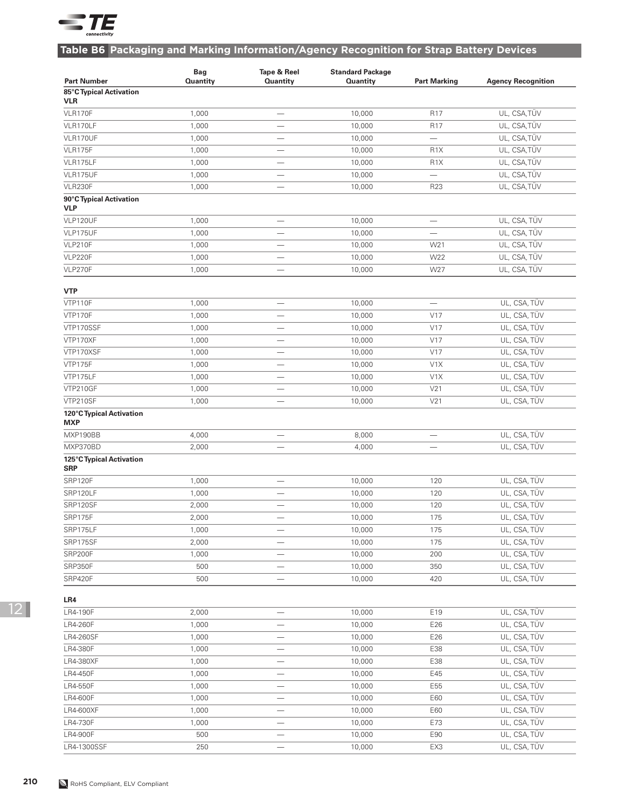

# **Table B6 Packaging and Marking Information/Agency Recognition for Strap Battery Devices**

| <b>Part Number</b>                     | Bag<br><b>Quantity</b> | Tape & Reel<br><b>Quantity</b> | <b>Standard Package</b><br><b>Quantity</b> | <b>Part Marking</b>             | <b>Agency Recognition</b> |
|----------------------------------------|------------------------|--------------------------------|--------------------------------------------|---------------------------------|---------------------------|
| 85°C Typical Activation<br><b>VLR</b>  |                        |                                |                                            |                                 |                           |
| VLR170F                                | 1,000                  | $\qquad \qquad -$              | 10,000                                     | R17                             | UL, CSA, TÜV              |
| VLR170LF                               | 1,000                  | $\overline{\phantom{0}}$       | 10,000                                     | R17                             | UL, CSA, TÜV              |
| VLR170UF                               | 1,000                  |                                | 10,000                                     | $\overbrace{\phantom{1232211}}$ | UL, CSA, TÜV              |
| VLR175F                                | 1,000                  |                                | 10,000                                     | R <sub>1</sub> X                | UL, CSA, TÜV              |
| VLR175LF                               | 1,000                  | $\overline{\phantom{0}}$       | 10,000                                     | R <sub>1</sub> X                | UL, CSA, TÜV              |
| VLR175UF                               | 1,000                  |                                | 10,000                                     | $\overbrace{\phantom{1232211}}$ | UL, CSA, TÜV              |
| VLR230F                                | 1,000                  | $\overline{\phantom{0}}$       | 10,000                                     | R <sub>23</sub>                 | UL, CSA, TÜV              |
| 90°C Typical Activation<br><b>VLP</b>  |                        |                                |                                            |                                 |                           |
| VLP120UF                               | 1,000                  |                                | 10,000                                     |                                 | UL, CSA, TÜV              |
| VLP175UF                               | 1,000                  |                                | 10,000                                     |                                 | UL, CSA, TÜV              |
| VLP210F                                | 1,000                  |                                | 10,000                                     | W21                             | UL, CSA, TÜV              |
| VLP220F                                | 1,000                  |                                | 10,000                                     | W22                             | UL, CSA, TÜV              |
| VLP270F                                | 1,000                  | $\overline{\phantom{0}}$       | 10,000                                     | W27                             | UL, CSA, TÜV              |
| <b>VTP</b>                             |                        |                                |                                            |                                 |                           |
| VTP110F                                | 1,000                  | $\overline{\phantom{m}}$       | 10,000                                     | $\overbrace{\qquad \qquad }^{}$ | UL, CSA, TÜV              |
| VTP170F                                | 1,000                  |                                | 10,000                                     | V17                             | UL, CSA, TÜV              |
| VTP170SSF                              | 1,000                  | $\overline{\phantom{0}}$       | 10,000                                     | V17                             | UL, CSA, TÜV              |
| VTP170XF                               | 1,000                  | -                              | 10,000                                     | V17                             | UL, CSA, TÜV              |
| VTP170XSF                              | 1,000                  |                                | 10,000                                     | V17                             | UL, CSA, TÜV              |
| VTP175F                                | 1,000                  | $\overline{\phantom{0}}$       | 10,000                                     | V1X                             | UL, CSA, TÜV              |
| VTP175LF                               | 1,000                  | -                              | 10,000                                     | V1X                             | UL, CSA, TÜV              |
| VTP210GF                               | 1,000                  |                                | 10,000                                     | V21                             | UL, CSA, TÜV              |
| VTP210SF                               | 1,000                  | $\overline{\phantom{0}}$       | 10,000                                     | V21                             | UL, CSA, TÜV              |
| 120°C Typical Activation               |                        |                                |                                            |                                 |                           |
| <b>MXP</b><br>MXP190BB                 | 4,000                  |                                | 8,000                                      |                                 | UL, CSA, TÜV              |
| MXP370BD                               | 2,000                  |                                | 4,000                                      |                                 | UL, CSA, TÜV              |
| 125°C Typical Activation<br><b>SRP</b> |                        |                                |                                            |                                 |                           |
| SRP120F                                | 1,000                  |                                | 10,000                                     | 120                             | UL, CSA, TÜV              |
| SRP120LF                               | 1,000                  |                                | 10,000                                     | 120                             | UL, CSA, TÜV              |
| SRP120SF                               | 2,000                  | $\overline{\phantom{0}}$       | 10,000                                     | 120                             | UL, CSA, TÜV              |
| SRP175F                                | 2,000                  |                                | 10,000                                     | 175                             | UL, CSA, TÜV              |
| SRP175LF                               | 1,000                  |                                | 10,000                                     | 175                             | UL, CSA, TÜV              |
| SRP175SF                               | 2,000                  |                                | 10,000                                     | 175                             | UL, CSA, TÜV              |
| SRP200F                                | 1,000                  |                                | 10,000                                     | 200                             | UL, CSA, TÜV              |
| SRP350F                                | 500                    |                                | 10,000                                     | 350                             | UL, CSA, TÜV              |
| SRP420F                                | 500                    | $\overline{\phantom{0}}$       | 10,000                                     | 420                             | UL, CSA, TÜV              |
| LR4                                    |                        |                                |                                            |                                 |                           |
| LR4-190F                               | 2,000                  | $\overline{\phantom{0}}$       | 10,000                                     | E19                             | UL, CSA, TÜV              |
| LR4-260F                               | 1,000                  |                                | 10,000                                     | E26                             | UL, CSA, TÜV              |
| LR4-260SF                              | 1,000                  | —                              | 10,000                                     | E26                             | UL, CSA, TÜV              |
| LR4-380F                               | 1,000                  |                                | 10,000                                     | E38                             | UL, CSA, TÜV              |
| LR4-380XF                              | 1,000                  |                                | 10,000                                     | E38                             | UL, CSA, TÜV              |
| LR4-450F                               | 1,000                  | —                              | 10,000                                     | E45                             | UL, CSA, TÜV              |
| LR4-550F                               | 1,000                  | $\overline{\phantom{0}}$       | 10,000                                     | E55                             | UL, CSA, TÜV              |
| LR4-600F                               | 1,000                  | $\overline{\phantom{0}}$       | 10,000                                     | E60                             | UL, CSA, TÜV              |
| LR4-600XF                              | 1,000                  | —                              | 10,000                                     | E60                             | UL, CSA, TÜV              |
| LR4-730F                               | 1,000                  | $\overline{\phantom{0}}$       | 10,000                                     | E73                             | UL, CSA, TÜV              |
| LR4-900F                               | 500                    |                                | 10,000                                     | E90                             | UL, CSA, TÜV              |
| LR4-1300SSF                            | 250                    |                                | 10,000                                     | EX3                             | UL, CSA, TÜV              |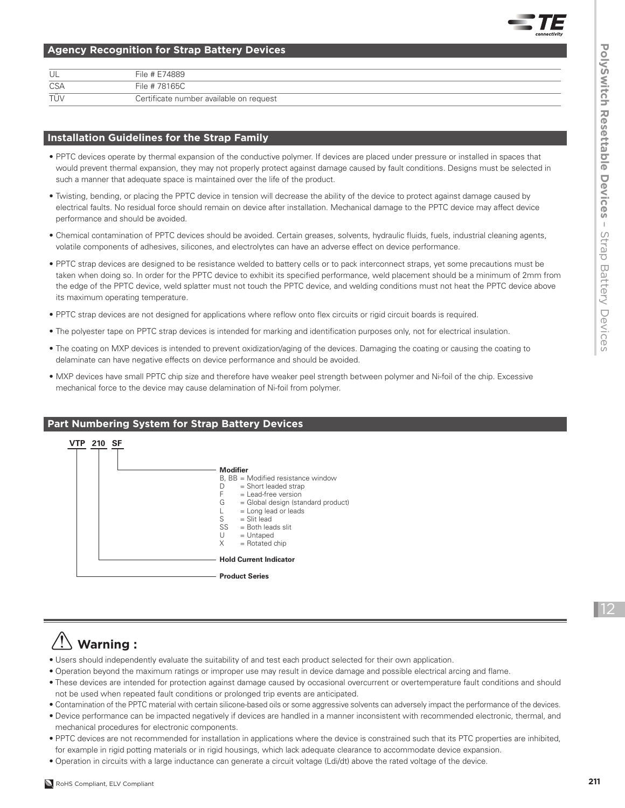

**PolySwitch**

**Resettable**

**Devices**

–

Strap Battery

Devices

## **Agency Recognition for Strap Battery Devices**

| UL                       | File # E74889                           |
|--------------------------|-----------------------------------------|
| <b>CSA</b>               | File #78165C                            |
| $ -$<br>T <sub>1</sub> N | Certificate number available on request |

# **Installation Guidelines for the Strap Family**

- PPTC devices operate by thermal expansion of the conductive polymer. If devices are placed under pressure or installed in spaces that would prevent thermal expansion, they may not properly protect against damage caused by fault conditions. Designs must be selected in such a manner that adequate space is maintained over the life of the product.
- Twisting, bending, or placing the PPTC device in tension will decrease the ability of the device to protect against damage caused by electrical faults. No residual force should remain on device after installation. Mechanical damage to the PPTC device may affect device performance and should be avoided.
- Chemical contamination of PPTC devices should be avoided. Certain greases, solvents, hydraulic fluids, fuels, industrial cleaning agents, volatile components of adhesives, silicones, and electrolytes can have an adverse effect on device performance.
- PPTC strap devices are designed to be resistance welded to battery cells or to pack interconnect straps, yet some precautions must be taken when doing so. In order for the PPTC device to exhibit its specified performance, weld placement should be a minimum of 2mm from the edge of the PPTC device, weld splatter must not touch the PPTC device, and welding conditions must not heat the PPTC device above its maximum operating temperature.
- PPTC strap devices are not designed for applications where reflow onto flex circuits or rigid circuit boards is required.
- The polyester tape on PPTC strap devices is intended for marking and identification purposes only, not for electrical insulation.
- The coating on MXP devices is intended to prevent oxidization/aging of the devices. Damaging the coating or causing the coating to delaminate can have negative effects on device performance and should be avoided.
- MXP devices have small PPTC chip size and therefore have weaker peel strength between polymer and Ni-foil of the chip. Excessive mechanical force to the device may cause delamination of Ni-foil from polymer.

## **Part Numbering System for Strap Battery Devices**



# **Warning :**

- Users should independently evaluate the suitability of and test each product selected for their own application.
- Operation beyond the maximum ratings or improper use may result in device damage and possible electrical arcing and flame.
- These devices are intended for protection against damage caused by occasional overcurrent or overtemperature fault conditions and should not be used when repeated fault conditions or prolonged trip events are anticipated.
- Contamination of the PPTC material with certain silicone-based oils or some aggressive solvents can adversely impact the performance of the devices.
- Device performance can be impacted negatively if devices are handled in a manner inconsistent with recommended electronic, thermal, and mechanical procedures for electronic components.
- PPTC devices are not recommended for installation in applications where the device is constrained such that its PTC properties are inhibited, for example in rigid potting materials or in rigid housings, which lack adequate clearance to accommodate device expansion.
- Operation in circuits with a large inductance can generate a circuit voltage (Ldi/dt) above the rated voltage of the device.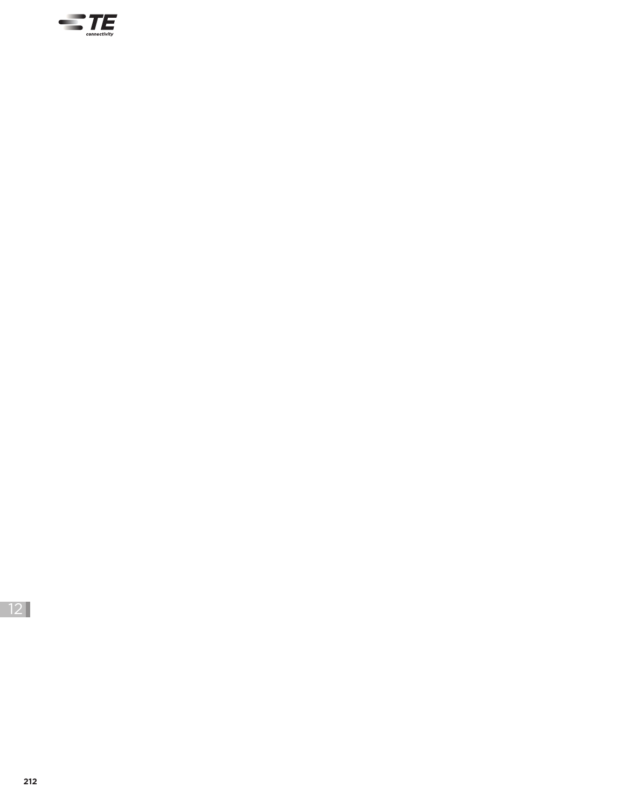